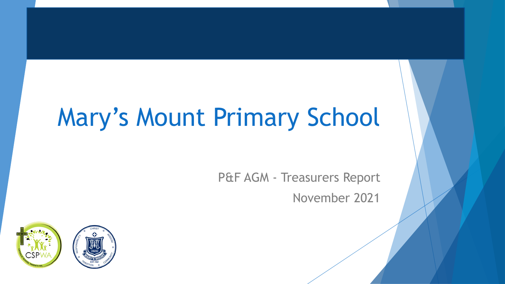### Mary's Mount Primary School

P&F AGM - Treasurers Report November 2021

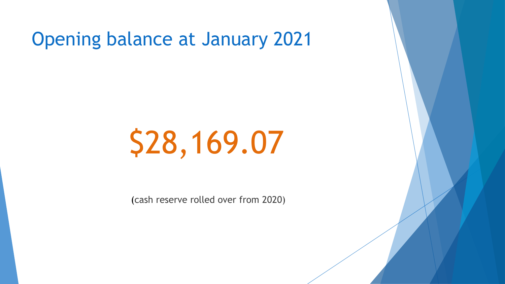Opening balance at January 2021

## \$28,169.07

(cash reserve rolled over from 2020)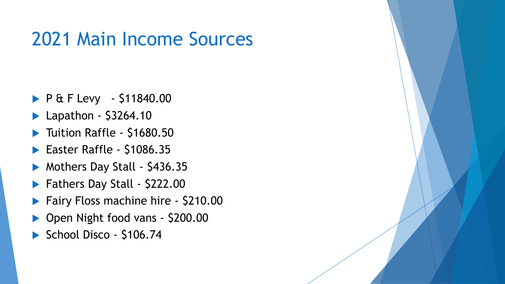#### 2021 Main Income Sources

- P & F Levy \$11840.00
- **Lapathon \$3264.10**
- Tuition Raffle \$1680.50
- Easter Raffle \$1086.35
- Mothers Day Stall \$436.35
- ▶ Fathers Day Stall \$222.00
- ▶ Fairy Floss machine hire \$210.00
- ▶ Open Night food vans \$200.00
- School Disco \$106.74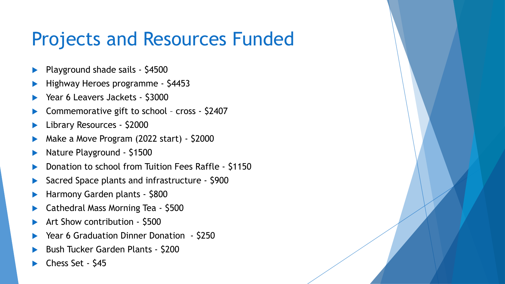#### Projects and Resources Funded

- Playground shade sails \$4500
- Highway Heroes programme \$4453
- Year 6 Leavers Jackets \$3000
- Commemorative gift to school cross \$2407
- Library Resources \$2000
- Make a Move Program (2022 start) \$2000
- Nature Playground \$1500
- Donation to school from Tuition Fees Raffle \$1150
- Sacred Space plants and infrastructure \$900
- Harmony Garden plants \$800
- Cathedral Mass Morning Tea \$500
- Art Show contribution \$500
- Year 6 Graduation Dinner Donation \$250
- Bush Tucker Garden Plants \$200
- Chess Set \$45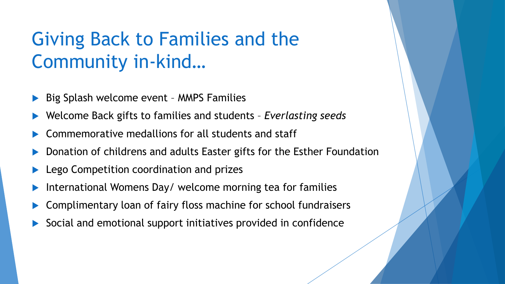#### Giving Back to Families and the Community in-kind…

- Big Splash welcome event MMPS Families
- Welcome Back gifts to families and students *Everlasting seeds*
- Commemorative medallions for all students and staff
- Donation of childrens and adults Easter gifts for the Esther Foundation
- Lego Competition coordination and prizes
- International Womens Day/ welcome morning tea for families
- Complimentary loan of fairy floss machine for school fundraisers
- Social and emotional support initiatives provided in confidence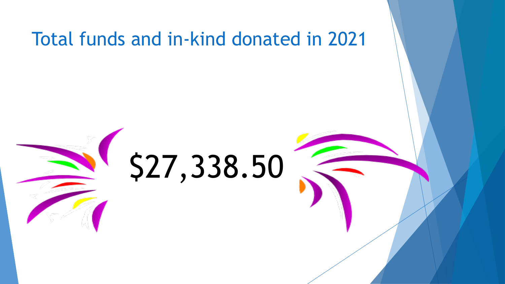#### Total funds and in-kind donated in 2021

# $$27,338.50$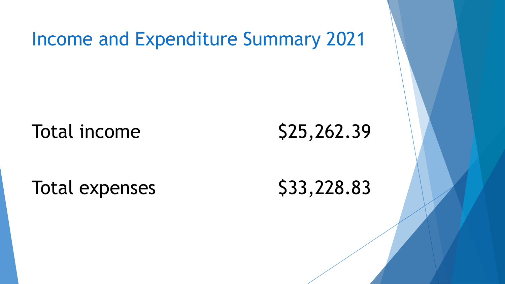Income and Expenditure Summary 2021

Total income \$25,262.39

Total expenses \$33,228.83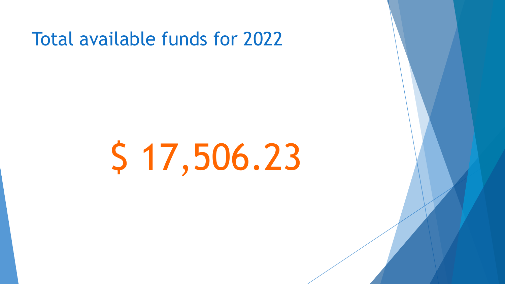#### Total available funds for 2022

## \$ 17,506.23